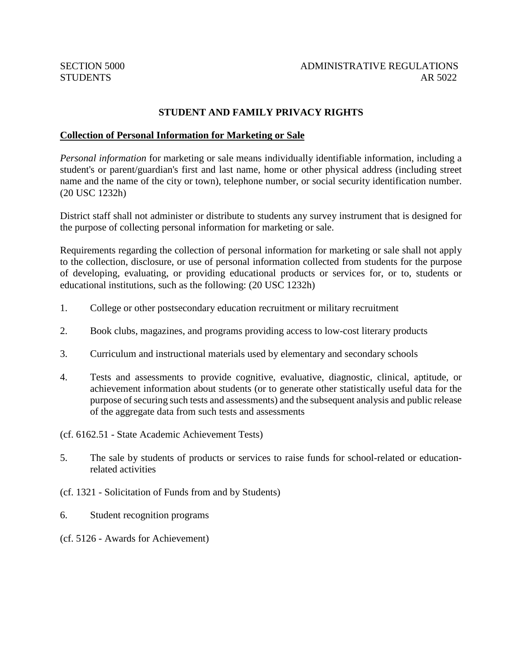# **STUDENT AND FAMILY PRIVACY RIGHTS**

#### **Collection of Personal Information for Marketing or Sale**

*Personal information* for marketing or sale means individually identifiable information, including a student's or parent/guardian's first and last name, home or other physical address (including street name and the name of the city or town), telephone number, or social security identification number. (20 USC 1232h)

District staff shall not administer or distribute to students any survey instrument that is designed for the purpose of collecting personal information for marketing or sale.

Requirements regarding the collection of personal information for marketing or sale shall not apply to the collection, disclosure, or use of personal information collected from students for the purpose of developing, evaluating, or providing educational products or services for, or to, students or educational institutions, such as the following: (20 USC 1232h)

- 1. College or other postsecondary education recruitment or military recruitment
- 2. Book clubs, magazines, and programs providing access to low-cost literary products
- 3. Curriculum and instructional materials used by elementary and secondary schools
- 4. Tests and assessments to provide cognitive, evaluative, diagnostic, clinical, aptitude, or achievement information about students (or to generate other statistically useful data for the purpose of securing such tests and assessments) and the subsequent analysis and public release of the aggregate data from such tests and assessments
- (cf. 6162.51 State Academic Achievement Tests)
- 5. The sale by students of products or services to raise funds for school-related or educationrelated activities
- (cf. 1321 Solicitation of Funds from and by Students)
- 6. Student recognition programs
- (cf. 5126 Awards for Achievement)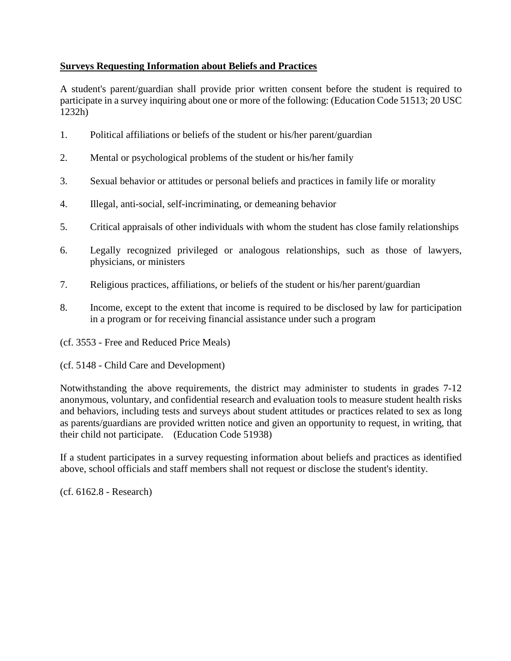# **Surveys Requesting Information about Beliefs and Practices**

A student's parent/guardian shall provide prior written consent before the student is required to participate in a survey inquiring about one or more of the following: (Education Code 51513; 20 USC 1232h)

- 1. Political affiliations or beliefs of the student or his/her parent/guardian
- 2. Mental or psychological problems of the student or his/her family
- 3. Sexual behavior or attitudes or personal beliefs and practices in family life or morality
- 4. Illegal, anti-social, self-incriminating, or demeaning behavior
- 5. Critical appraisals of other individuals with whom the student has close family relationships
- 6. Legally recognized privileged or analogous relationships, such as those of lawyers, physicians, or ministers
- 7. Religious practices, affiliations, or beliefs of the student or his/her parent/guardian
- 8. Income, except to the extent that income is required to be disclosed by law for participation in a program or for receiving financial assistance under such a program
- (cf. 3553 Free and Reduced Price Meals)
- (cf. 5148 Child Care and Development)

Notwithstanding the above requirements, the district may administer to students in grades 7-12 anonymous, voluntary, and confidential research and evaluation tools to measure student health risks and behaviors, including tests and surveys about student attitudes or practices related to sex as long as parents/guardians are provided written notice and given an opportunity to request, in writing, that their child not participate. (Education Code 51938)

If a student participates in a survey requesting information about beliefs and practices as identified above, school officials and staff members shall not request or disclose the student's identity.

(cf. 6162.8 - Research)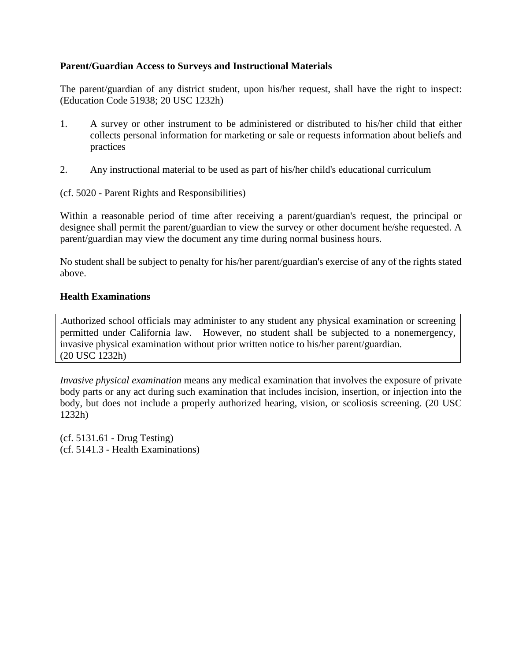### **Parent/Guardian Access to Surveys and Instructional Materials**

The parent/guardian of any district student, upon his/her request, shall have the right to inspect: (Education Code 51938; 20 USC 1232h)

- 1. A survey or other instrument to be administered or distributed to his/her child that either collects personal information for marketing or sale or requests information about beliefs and practices
- 2. Any instructional material to be used as part of his/her child's educational curriculum

(cf. 5020 - Parent Rights and Responsibilities)

Within a reasonable period of time after receiving a parent/guardian's request, the principal or designee shall permit the parent/guardian to view the survey or other document he/she requested. A parent/guardian may view the document any time during normal business hours.

No student shall be subject to penalty for his/her parent/guardian's exercise of any of the rights stated above.

### **Health Examinations**

.Authorized school officials may administer to any student any physical examination or screening permitted under California law. However, no student shall be subjected to a nonemergency, invasive physical examination without prior written notice to his/her parent/guardian. (20 USC 1232h)

*Invasive physical examination* means any medical examination that involves the exposure of private body parts or any act during such examination that includes incision, insertion, or injection into the body, but does not include a properly authorized hearing, vision, or scoliosis screening. (20 USC 1232h)

(cf. 5131.61 - Drug Testing) (cf. 5141.3 - Health Examinations)